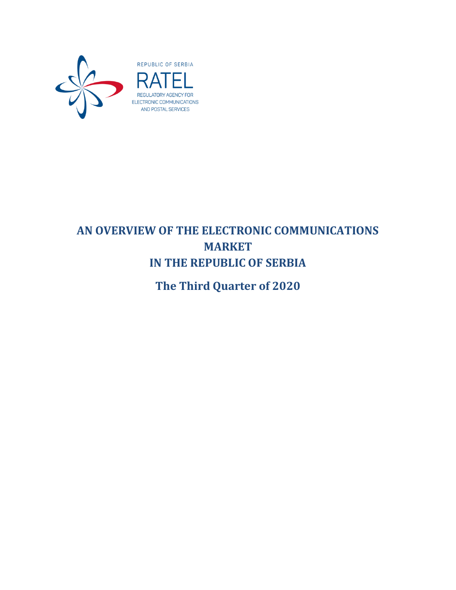

# **AN OVERVIEW OF THE ELECTRONIC COMMUNICATIONS MARKET IN THE REPUBLIC OF SERBIA**

**The Third Quarter of 2020**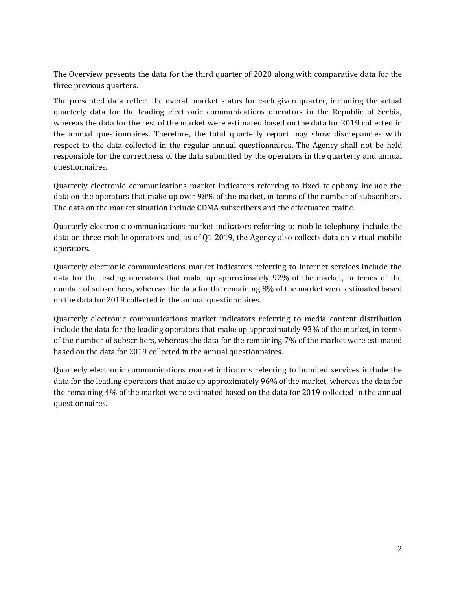The Overview presents the data for the third quarter of 2020 along with comparative data for the three previous quarters.

The presented data reflect the overall market status for each given quarter, including the actual quarterly data for the leading electronic communications operators in the Republic of Serbia, whereas the data for the rest of the market were estimated based on the data for 2019 collected in the annual questionnaires. Therefore, the total quarterly report may show discrepancies with respect to the data collected in the regular annual questionnaires. The Agency shall not be held responsible for the correctness of the data submitted by the operators in the quarterly and annual questionnaires.

Quarterly electronic communications market indicators referring to fixed telephony include the data on the operators that make up over 98% of the market, in terms of the number of subscribers. The data on the market situation include CDMA subscribers and the effectuated traffic.

Quarterly electronic communications market indicators referring to mobile telephony include the data on three mobile operators and, as of Q1 2019, the Agency also collects data on virtual mobile operators.

Quarterly electronic communications market indicators referring to Internet services include the data for the leading operators that make up approximately 92% of the market, in terms of the number of subscribers, whereas the data for the remaining 8% of the market were estimated based on the data for 2019 collected in the annual questionnaires.

Quarterly electronic communications market indicators referring to media content distribution include the data for the leading operators that make up approximately 93% of the market, in terms of the number of subscribers, whereas the data for the remaining 7% of the market were estimated based on the data for 2019 collected in the annual questionnaires.

Quarterly electronic communications market indicators referring to bundled services include the data for the leading operators that make up approximately 96% of the market, whereas the data for the remaining 4% of the market were estimated based on the data for 2019 collected in the annual questionnaires.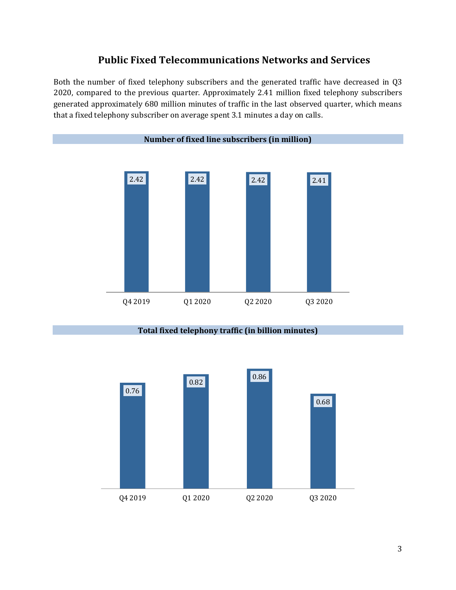## **Public Fixed Telecommunications Networks and Services**

Both the number of fixed telephony subscribers and the generated traffic have decreased in Q3 2020, compared to the previous quarter. Approximately 2.41 million fixed telephony subscribers generated approximately 680 million minutes of traffic in the last observed quarter, which means that a fixed telephony subscriber on average spent 3.1 minutes a day on calls.



**Total fixed telephony traffic (in billion minutes)**

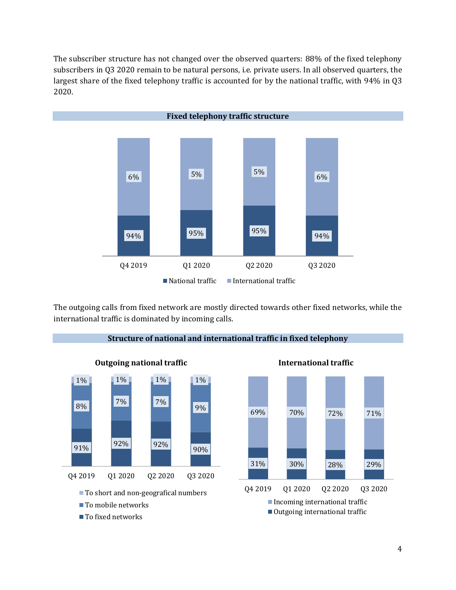The subscriber structure has not changed over the observed quarters: 88% of the fixed telephony subscribers in Q3 2020 remain to be natural persons, i.e. private users. In all observed quarters, the largest share of the fixed telephony traffic is accounted for by the national traffic, with 94% in Q3 2020.



The outgoing calls from fixed network are mostly directed towards other fixed networks, while the international traffic is dominated by incoming calls.



**Structure of national and international traffic in fixed telephony**

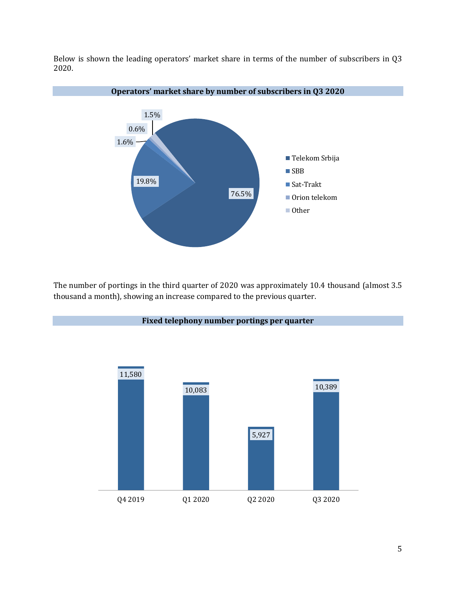Below is shown the leading operators' market share in terms of the number of subscribers in Q3 2020.



The number of portings in the third quarter of 2020 was approximately 10.4 thousand (almost 3.5 thousand a month), showing an increase compared to the previous quarter.

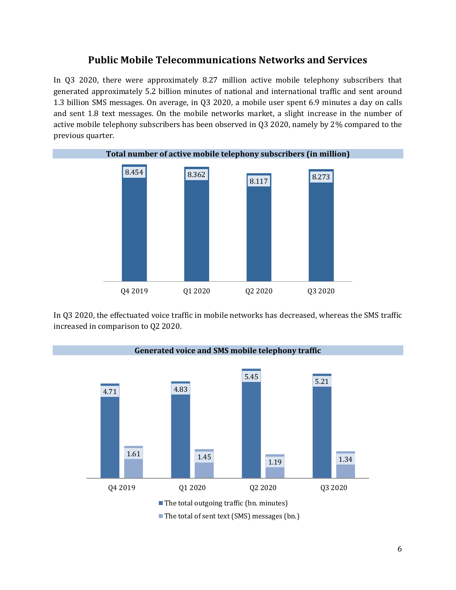#### **Public Mobile Telecommunications Networks and Services**

In Q3 2020, there were approximately 8.27 million active mobile telephony subscribers that generated approximately 5.2 billion minutes of national and international traffic and sent around 1.3 billion SMS messages. On average, in Q3 2020, a mobile user spent 6.9 minutes a day on calls and sent 1.8 text messages. On the mobile networks market, a slight increase in the number of active mobile telephony subscribers has been observed in Q3 2020, namely by 2% compared to the previous quarter.



In Q3 2020, the effectuated voice traffic in mobile networks has decreased, whereas the SMS traffic increased in comparison to Q2 2020.

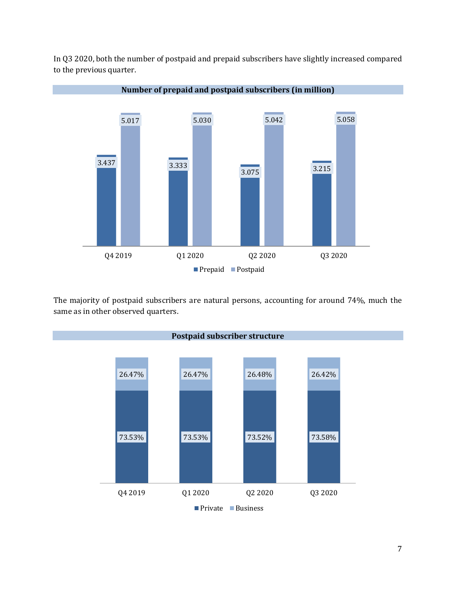

In Q3 2020, both the number of postpaid and prepaid subscribers have slightly increased compared to the previous quarter.

The majority of postpaid subscribers are natural persons, accounting for around 74%, much the same as in other observed quarters.

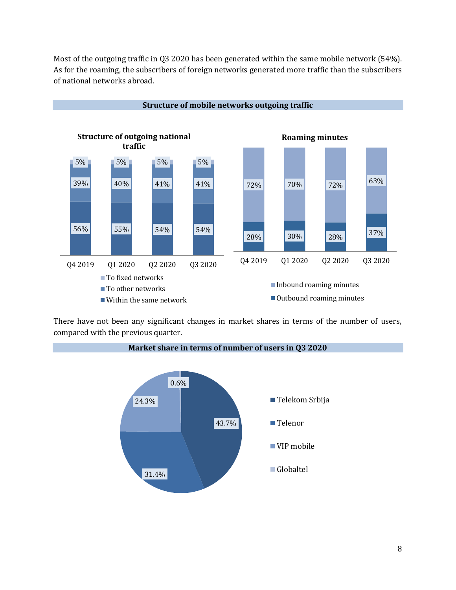Most of the outgoing traffic in Q3 2020 has been generated within the same mobile network (54%). As for the roaming, the subscribers of foreign networks generated more traffic than the subscribers of national networks abroad.



There have not been any significant changes in market shares in terms of the number of users, compared with the previous quarter.

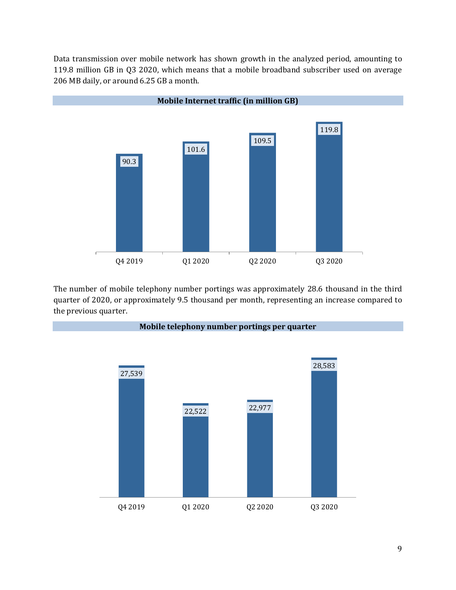Data transmission over mobile network has shown growth in the analyzed period, amounting to 119.8 million GB in Q3 2020, which means that a mobile broadband subscriber used on average 206 MB daily, or around 6.25 GB a month.



The number of mobile telephony number portings was approximately 28.6 thousand in the third quarter of 2020, or approximately 9.5 thousand per month, representing an increase compared to the previous quarter.

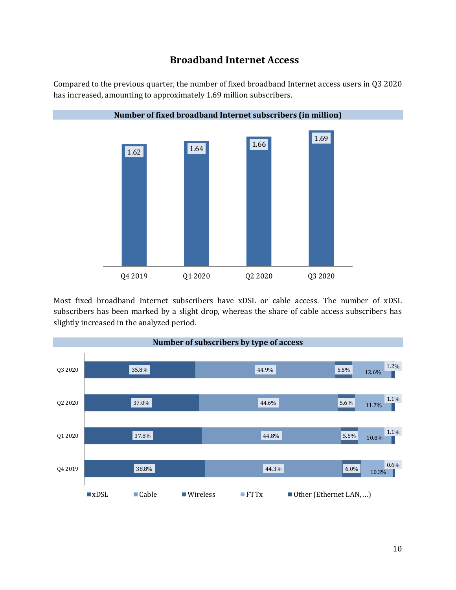### **Broadband Internet Access**

Compared to the previous quarter, the number of fixed broadband Internet access users in Q3 2020 has increased, amounting to approximately 1.69 million subscribers.



Most fixed broadband Internet subscribers have xDSL or cable access. The number of xDSL subscribers has been marked by a slight drop, whereas the share of cable access subscribers has slightly increased in the analyzed period.

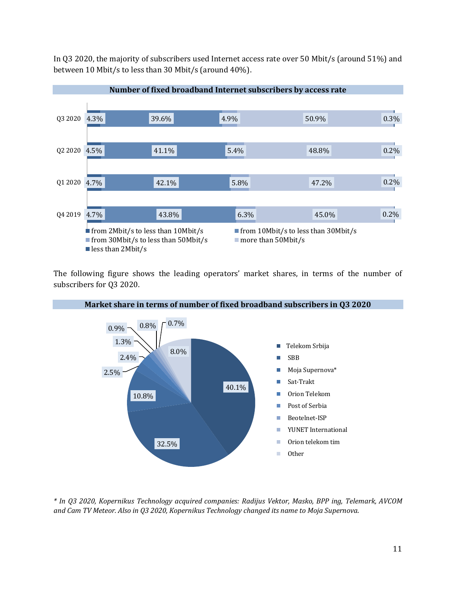In Q3 2020, the majority of subscribers used Internet access rate over 50 Mbit/s (around 51%) and between 10 Mbit/s to less than 30 Mbit/s (around 40%).



The following figure shows the leading operators' market shares, in terms of the number of subscribers for Q3 2020.



*\* In Q3 2020, Kopernikus Technology acquired companies: Radijus Vektor, Masko, BPP ing, Telemark, AVCOM and Сат TV Meteor. Also in Q3 2020, Kopernikus Technology changed its name to Moja Supernova.*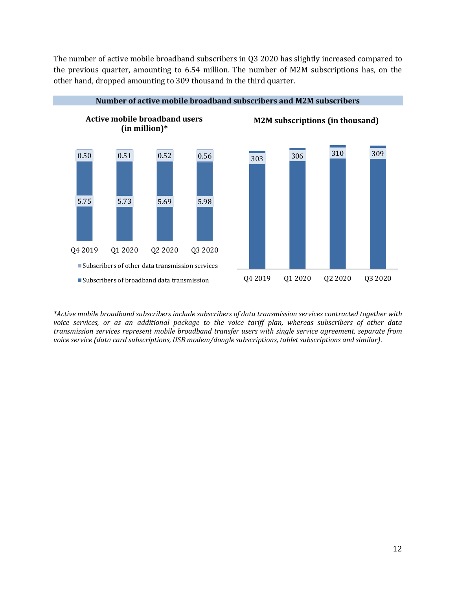The number of active mobile broadband subscribers in Q3 2020 has slightly increased compared to the previous quarter, amounting to 6.54 million. The number of M2M subscriptions has, on the other hand, dropped amounting to 309 thousand in the third quarter.



*\*Active mobile broadband subscribers include subscribers of data transmission services contracted together with voice services, or as an additional package to the voice tariff plan, whereas subscribers of other data transmission services represent mobile broadband transfer users with single service agreement, separate from voice service (data card subscriptions, USB modem/dongle subscriptions, tablet subscriptions and similar).*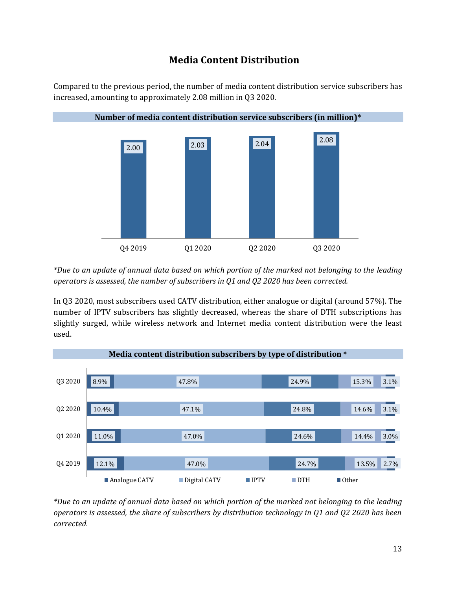# **Media Content Distribution**

Compared to the previous period, the number of media content distribution service subscribers has increased, amounting to approximately 2.08 million in Q3 2020.



*\*Due to an update of annual data based on which portion of the marked not belonging to the leading operators is assessed, the number of subscribers in Q1 and Q2 2020 has been corrected.*

In Q3 2020, most subscribers used CATV distribution, either analogue or digital (around 57%). The number of IPTV subscribers has slightly decreased, whereas the share of DTH subscriptions has slightly surged, while wireless network and Internet media content distribution were the least used.



*\*Due to an update of annual data based on which portion of the marked not belonging to the leading operators is assessed, the share of subscribers by distribution technology in Q1 and Q2 2020 has been corrected.*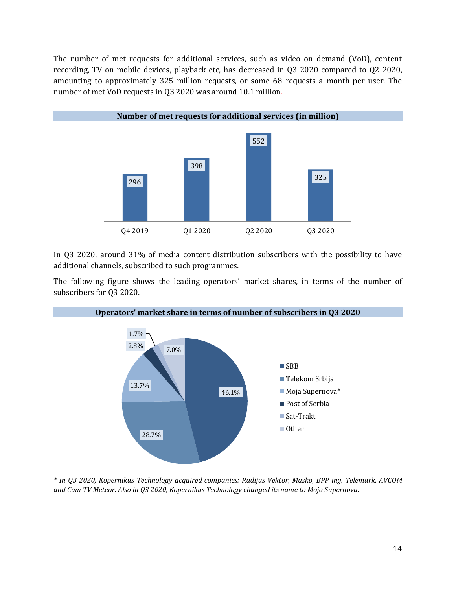The number of met requests for additional services, such as video on demand (VoD), content recording, TV on mobile devices, playback etc, has decreased in Q3 2020 compared to Q2 2020, amounting to approximately 325 million requests, or some 68 requests a month per user. The number of met VoD requests in Q3 2020 was around 10.1 million.



In Q3 2020, around 31% of media content distribution subscribers with the possibility to have additional channels, subscribed to such programmes.

The following figure shows the leading operators' market shares, in terms of the number of subscribers for Q3 2020.



**Operators' market share in terms of number of subscribers in Q3 2020**

*\* In Q3 2020, Kopernikus Technology acquired companies: Radijus Vektor, Masko, BPP ing, Telemark, AVCOM and Сат TV Meteor. Also in Q3 2020, Kopernikus Technology changed its name to Moja Supernova.*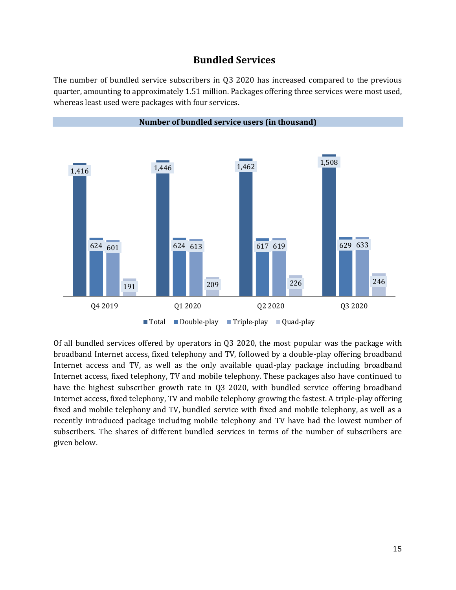#### **Bundled Services**

The number of bundled service subscribers in Q3 2020 has increased compared to the previous quarter, amounting to approximately 1.51 million. Packages offering three services were most used, whereas least used were packages with four services.



Of all bundled services offered by operators in Q3 2020, the most popular was the package with broadband Internet access, fixed telephony and TV, followed by a double-play offering broadband Internet access and TV, as well as the only available quad-play package including broadband Internet access, fixed telephony, TV and mobile telephony. These packages also have continued to have the highest subscriber growth rate in Q3 2020, with bundled service offering broadband Internet access, fixed telephony, TV and mobile telephony growing the fastest. A triple-play offering fixed and mobile telephony and TV, bundled service with fixed and mobile telephony, as well as a recently introduced package including mobile telephony and TV have had the lowest number of subscribers. The shares of different bundled services in terms of the number of subscribers are given below.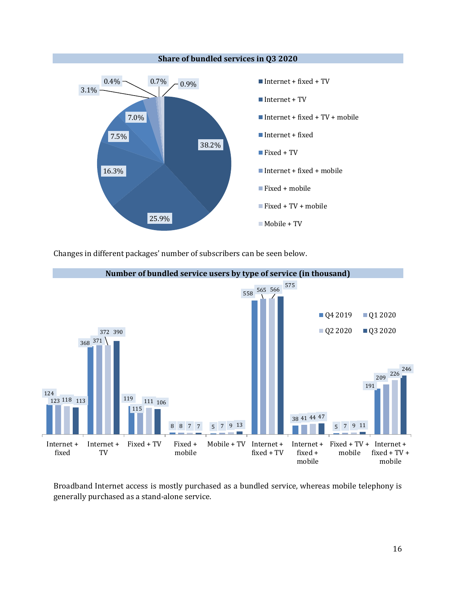

Changes in different packages' number of subscribers can be seen below.



Broadband Internet access is mostly purchased as a bundled service, whereas mobile telephony is generally purchased as a stand-alone service.